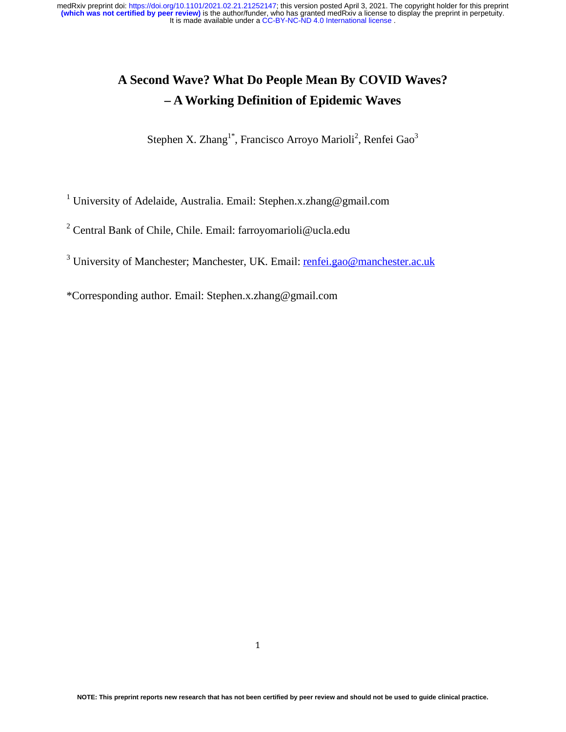# **A Second Wave? What Do People Mean By COVID Waves? – A Working Definition of Epidemic Waves**

Stephen X. Zhang<sup>1\*</sup>, Francisco Arroyo Marioli<sup>2</sup>, Renfei Gao<sup>3</sup>

<sup>1</sup> University of Adelaide, Australia. Email: Stephen.x.zhang@gmail.com

<sup>2</sup> Central Bank of Chile, Chile. Email: farroyomarioli@ucla.edu

<sup>3</sup> University of Manchester; Manchester, UK. Email: renfei.gao@manchester.ac.uk

\*Corresponding author. Email: Stephen.x.zhang@gmail.com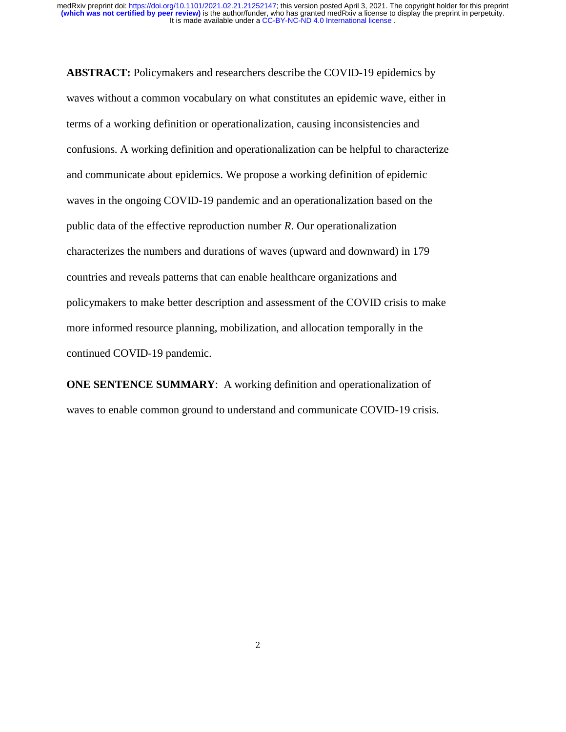**ABSTRACT:** Policymakers and researchers describe the COVID-19 epidemics by waves without a common vocabulary on what constitutes an epidemic wave, either in terms of a working definition or operationalization, causing inconsistencies and confusions. A working definition and operationalization can be helpful to characterize and communicate about epidemics. We propose a working definition of epidemic waves in the ongoing COVID-19 pandemic and an operationalization based on the public data of the effective reproduction number *R*. Our operationalization characterizes the numbers and durations of waves (upward and downward) in 179 countries and reveals patterns that can enable healthcare organizations and policymakers to make better description and assessment of the COVID crisis to make more informed resource planning, mobilization, and allocation temporally in the continued COVID-19 pandemic.

**ONE SENTENCE SUMMARY:** A working definition and operationalization of waves to enable common ground to understand and communicate COVID-19 crisis.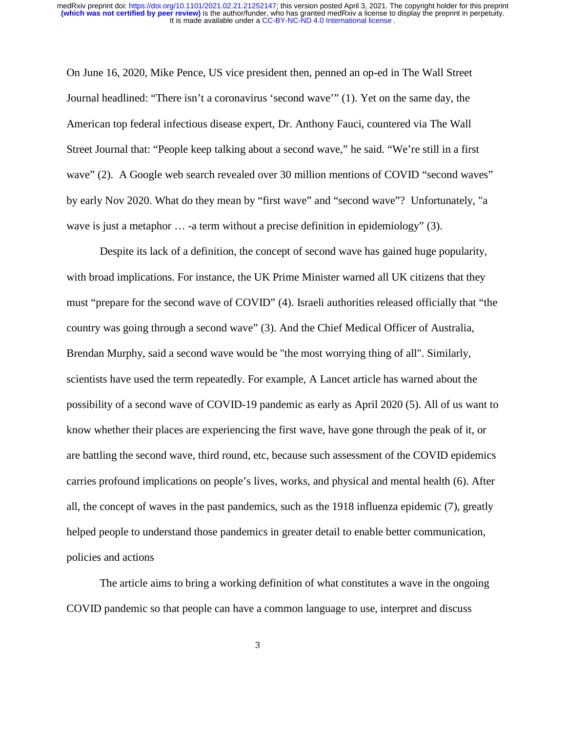On June 16, 2020, Mike Pence, US vice president then, penned an op-ed in The Wall Street Journal headlined: "There isn't a coronavirus 'second wave'" (1). Yet on the same day, the American top federal infectious disease expert, Dr. Anthony Fauci, countered via The Wall Street Journal that: "People keep talking about a second wave," he said. "We're still in a first wave" (2). A Google web search revealed over 30 million mentions of COVID "second waves" by early Nov 2020. What do they mean by "first wave" and "second wave"? Unfortunately, "a wave is just a metaphor ... -a term without a precise definition in epidemiology" (3).

Despite its lack of a definition, the concept of second wave has gained huge popularity, with broad implications. For instance, the UK Prime Minister warned all UK citizens that they must "prepare for the second wave of COVID" (4). Israeli authorities released officially that "the country was going through a second wave" (3). And the Chief Medical Officer of Australia, Brendan Murphy, said a second wave would be "the most worrying thing of all". Similarly, scientists have used the term repeatedly. For example, A Lancet article has warned about the possibility of a second wave of COVID-19 pandemic as early as April 2020 (5). All of us want to know whether their places are experiencing the first wave, have gone through the peak of it, or are battling the second wave, third round, etc, because such assessment of the COVID epidemics carries profound implications on people's lives, works, and physical and mental health (6). After all, the concept of waves in the past pandemics, such as the 1918 influenza epidemic (7), greatly helped people to understand those pandemics in greater detail to enable better communication, policies and actions

The article aims to bring a working definition of what constitutes a wave in the ongoing COVID pandemic so that people can have a common language to use, interpret and discuss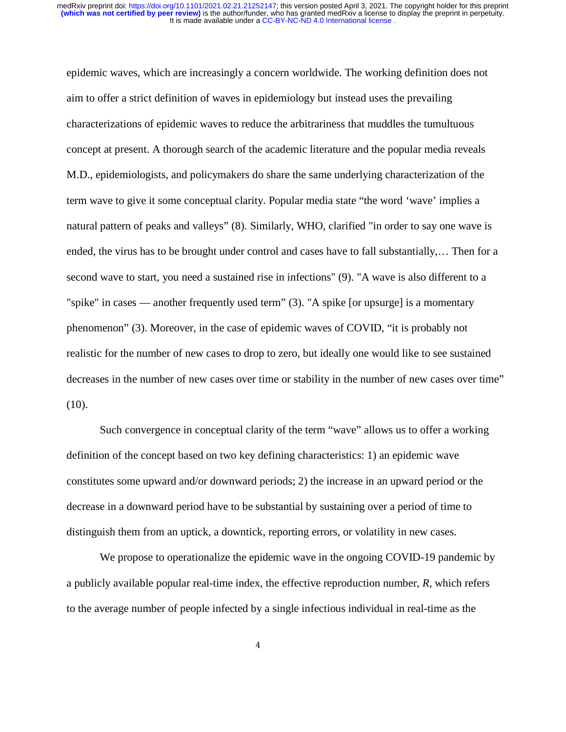epidemic waves, which are increasingly a concern worldwide. The working definition does not aim to offer a strict definition of waves in epidemiology but instead uses the prevailing characterizations of epidemic waves to reduce the arbitrariness that muddles the tumultuous concept at present. A thorough search of the academic literature and the popular media reveals M.D., epidemiologists, and policymakers do share the same underlying characterization of the term wave to give it some conceptual clarity. Popular media state "the word 'wave' implies a natural pattern of peaks and valleys" (8). Similarly, WHO, clarified "in order to say one wave is ended, the virus has to be brought under control and cases have to fall substantially,… Then for a second wave to start, you need a sustained rise in infections" (9). "A wave is also different to a "spike" in cases — another frequently used term" (3). "A spike [or upsurge] is a momentary phenomenon" (3). Moreover, in the case of epidemic waves of COVID, "it is probably not realistic for the number of new cases to drop to zero, but ideally one would like to see sustained decreases in the number of new cases over time or stability in the number of new cases over time"  $(10).$ 

Such convergence in conceptual clarity of the term "wave" allows us to offer a working definition of the concept based on two key defining characteristics: 1) an epidemic wave constitutes some upward and/or downward periods; 2) the increase in an upward period or the decrease in a downward period have to be substantial by sustaining over a period of time to distinguish them from an uptick, a downtick, reporting errors, or volatility in new cases.

We propose to operationalize the epidemic wave in the ongoing COVID-19 pandemic by a publicly available popular real-time index, the effective reproduction number, *R*, which refers to the average number of people infected by a single infectious individual in real-time as the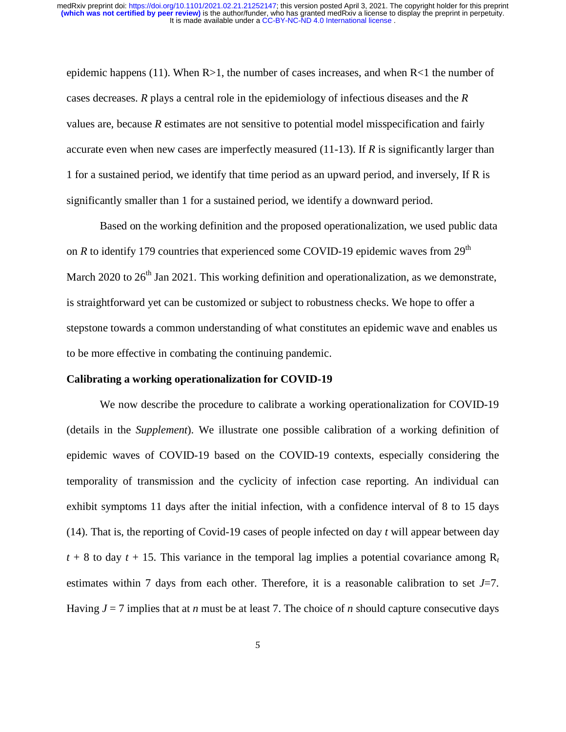epidemic happens (11). When  $R>1$ , the number of cases increases, and when  $R<1$  the number of cases decreases. *R* plays a central role in the epidemiology of infectious diseases and the *R* values are, because *R* estimates are not sensitive to potential model misspecification and fairly accurate even when new cases are imperfectly measured (11-13). If *R* is significantly larger than 1 for a sustained period, we identify that time period as an upward period, and inversely, If R is significantly smaller than 1 for a sustained period, we identify a downward period.

Based on the working definition and the proposed operationalization, we used public data on *R* to identify 179 countries that experienced some COVID-19 epidemic waves from  $29<sup>th</sup>$ March 2020 to  $26<sup>th</sup>$  Jan 2021. This working definition and operationalization, as we demonstrate, is straightforward yet can be customized or subject to robustness checks. We hope to offer a stepstone towards a common understanding of what constitutes an epidemic wave and enables us to be more effective in combating the continuing pandemic.

#### **Calibrating a working operationalization for COVID-19**

We now describe the procedure to calibrate a working operationalization for COVID-19 (details in the *Supplement*). We illustrate one possible calibration of a working definition of epidemic waves of COVID-19 based on the COVID-19 contexts, especially considering the temporality of transmission and the cyclicity of infection case reporting. An individual can exhibit symptoms 11 days after the initial infection, with a confidence interval of 8 to 15 days (14). That is, the reporting of Covid-19 cases of people infected on day *t* will appear between day  $t + 8$  to day  $t + 15$ . This variance in the temporal lag implies a potential covariance among  $R_t$ estimates within 7 days from each other. Therefore, it is a reasonable calibration to set *J*=7. Having  $J = 7$  implies that at *n* must be at least 7. The choice of *n* should capture consecutive days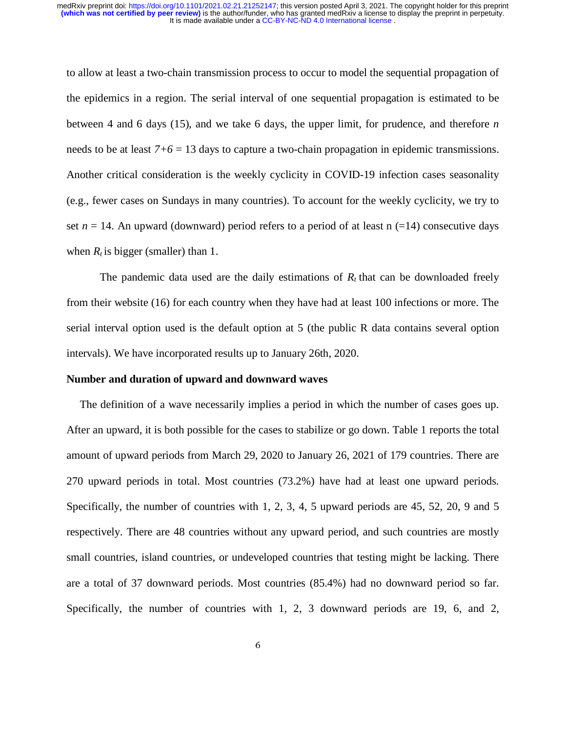#### It is made available under a [CC-BY-NC-ND 4.0 International license](http://creativecommons.org/licenses/by-nc-nd/4.0/) . **(which was not certified by peer review)** is the author/funder, who has granted medRxiv a license to display the preprint in perpetuity. medRxiv preprint doi: [https://doi.org/10.1101/2021.02.21.21252147;](https://doi.org/10.1101/2021.02.21.21252147) this version posted April 3, 2021. The copyright holder for this preprint

to allow at least a two-chain transmission process to occur to model the sequential propagation of the epidemics in a region. The serial interval of one sequential propagation is estimated to be between 4 and 6 days (15), and we take 6 days, the upper limit, for prudence, and therefore *n* needs to be at least *7+6* = 13 days to capture a two-chain propagation in epidemic transmissions. Another critical consideration is the weekly cyclicity in COVID-19 infection cases seasonality (e.g., fewer cases on Sundays in many countries). To account for the weekly cyclicity, we try to set  $n = 14$ . An upward (downward) period refers to a period of at least n (=14) consecutive days when  $R_t$  is bigger (smaller) than 1.

The pandemic data used are the daily estimations of  $R_t$  that can be downloaded freely from their website (16) for each country when they have had at least 100 infections or more. The serial interval option used is the default option at 5 (the public R data contains several option intervals). We have incorporated results up to January 26th, 2020.

#### **Number and duration of upward and downward waves**

The definition of a wave necessarily implies a period in which the number of cases goes up. After an upward, it is both possible for the cases to stabilize or go down. Table 1 reports the total amount of upward periods from March 29, 2020 to January 26, 2021 of 179 countries. There are 270 upward periods in total. Most countries (73.2%) have had at least one upward periods. Specifically, the number of countries with 1, 2, 3, 4, 5 upward periods are 45, 52, 20, 9 and 5 respectively. There are 48 countries without any upward period, and such countries are mostly small countries, island countries, or undeveloped countries that testing might be lacking. There are a total of 37 downward periods. Most countries (85.4%) had no downward period so far. Specifically, the number of countries with 1, 2, 3 downward periods are 19, 6, and 2,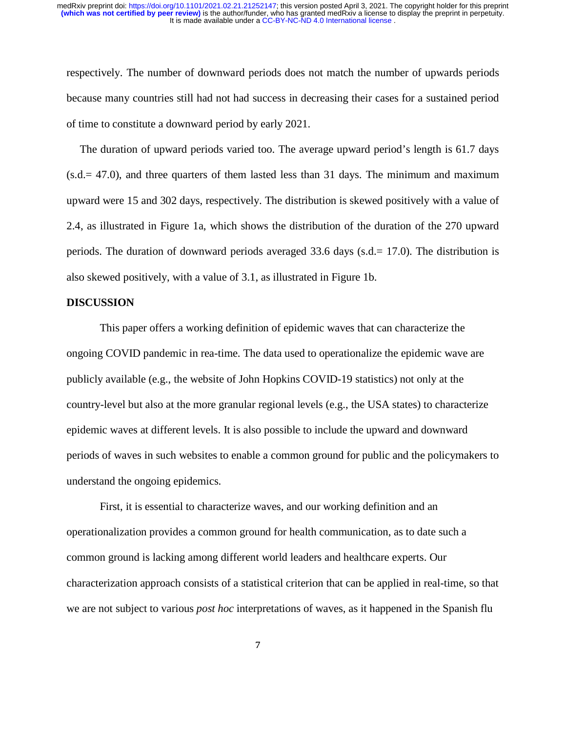respectively. The number of downward periods does not match the number of upwards periods because many countries still had not had success in decreasing their cases for a sustained period of time to constitute a downward period by early 2021.

The duration of upward periods varied too. The average upward period's length is 61.7 days  $(s.d. = 47.0)$ , and three quarters of them lasted less than 31 days. The minimum and maximum upward were 15 and 302 days, respectively. The distribution is skewed positively with a value of 2.4, as illustrated in Figure 1a, which shows the distribution of the duration of the 270 upward periods. The duration of downward periods averaged 33.6 days (s.d.= 17.0). The distribution is also skewed positively, with a value of 3.1, as illustrated in Figure 1b.

#### **DISCUSSION**

This paper offers a working definition of epidemic waves that can characterize the ongoing COVID pandemic in rea-time. The data used to operationalize the epidemic wave are publicly available (e.g., the website of John Hopkins COVID-19 statistics) not only at the country-level but also at the more granular regional levels (e.g., the USA states) to characterize epidemic waves at different levels. It is also possible to include the upward and downward periods of waves in such websites to enable a common ground for public and the policymakers to understand the ongoing epidemics.

First, it is essential to characterize waves, and our working definition and an operationalization provides a common ground for health communication, as to date such a common ground is lacking among different world leaders and healthcare experts. Our characterization approach consists of a statistical criterion that can be applied in real-time, so that we are not subject to various *post hoc* interpretations of waves, as it happened in the Spanish flu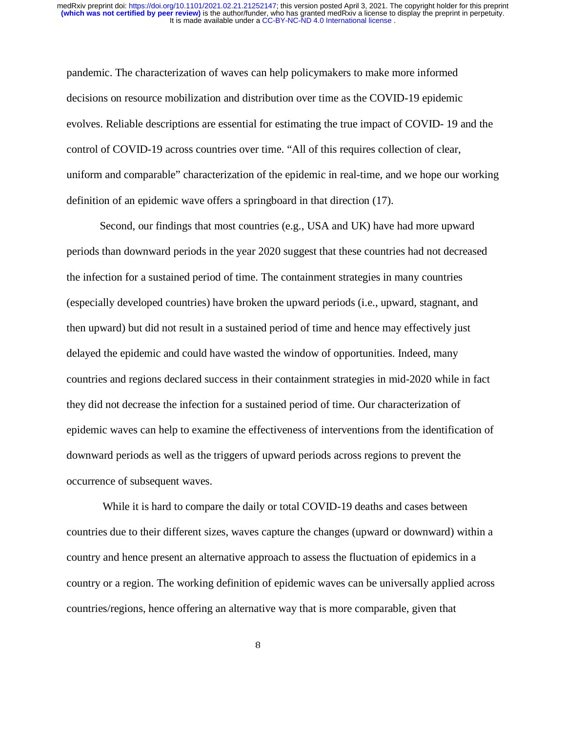pandemic. The characterization of waves can help policymakers to make more informed decisions on resource mobilization and distribution over time as the COVID-19 epidemic evolves. Reliable descriptions are essential for estimating the true impact of COVID- 19 and the control of COVID-19 across countries over time. "All of this requires collection of clear, uniform and comparable" characterization of the epidemic in real-time, and we hope our working definition of an epidemic wave offers a springboard in that direction (17).

Second, our findings that most countries (e.g., USA and UK) have had more upward periods than downward periods in the year 2020 suggest that these countries had not decreased the infection for a sustained period of time. The containment strategies in many countries (especially developed countries) have broken the upward periods (i.e., upward, stagnant, and then upward) but did not result in a sustained period of time and hence may effectively just delayed the epidemic and could have wasted the window of opportunities. Indeed, many countries and regions declared success in their containment strategies in mid-2020 while in fact they did not decrease the infection for a sustained period of time. Our characterization of epidemic waves can help to examine the effectiveness of interventions from the identification of downward periods as well as the triggers of upward periods across regions to prevent the occurrence of subsequent waves.

 While it is hard to compare the daily or total COVID-19 deaths and cases between countries due to their different sizes, waves capture the changes (upward or downward) within a country and hence present an alternative approach to assess the fluctuation of epidemics in a country or a region. The working definition of epidemic waves can be universally applied across countries/regions, hence offering an alternative way that is more comparable, given that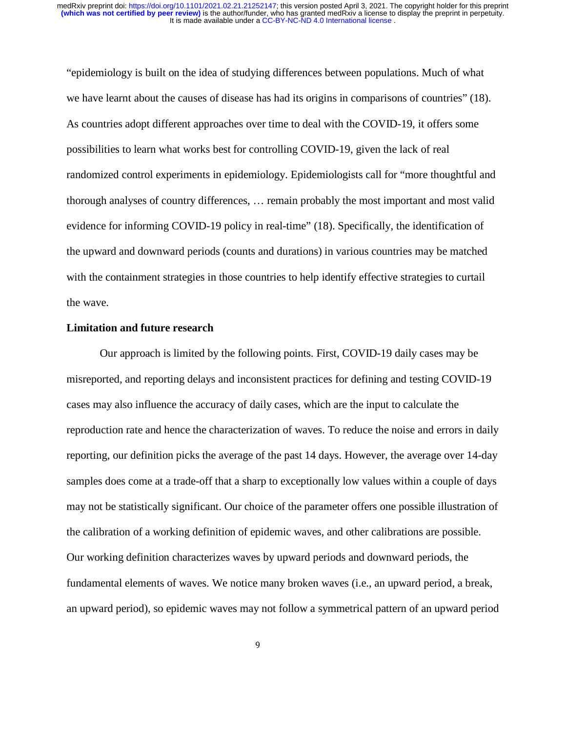"epidemiology is built on the idea of studying differences between populations. Much of what we have learnt about the causes of disease has had its origins in comparisons of countries" (18). As countries adopt different approaches over time to deal with the COVID-19, it offers some possibilities to learn what works best for controlling COVID-19, given the lack of real randomized control experiments in epidemiology. Epidemiologists call for "more thoughtful and thorough analyses of country differences, … remain probably the most important and most valid evidence for informing COVID-19 policy in real-time" (18). Specifically, the identification of the upward and downward periods (counts and durations) in various countries may be matched with the containment strategies in those countries to help identify effective strategies to curtail the wave.

#### **Limitation and future research**

Our approach is limited by the following points. First, COVID-19 daily cases may be misreported, and reporting delays and inconsistent practices for defining and testing COVID-19 cases may also influence the accuracy of daily cases, which are the input to calculate the reproduction rate and hence the characterization of waves. To reduce the noise and errors in daily reporting, our definition picks the average of the past 14 days. However, the average over 14-day samples does come at a trade-off that a sharp to exceptionally low values within a couple of days may not be statistically significant. Our choice of the parameter offers one possible illustration of the calibration of a working definition of epidemic waves, and other calibrations are possible. Our working definition characterizes waves by upward periods and downward periods, the fundamental elements of waves. We notice many broken waves (i.e., an upward period, a break, an upward period), so epidemic waves may not follow a symmetrical pattern of an upward period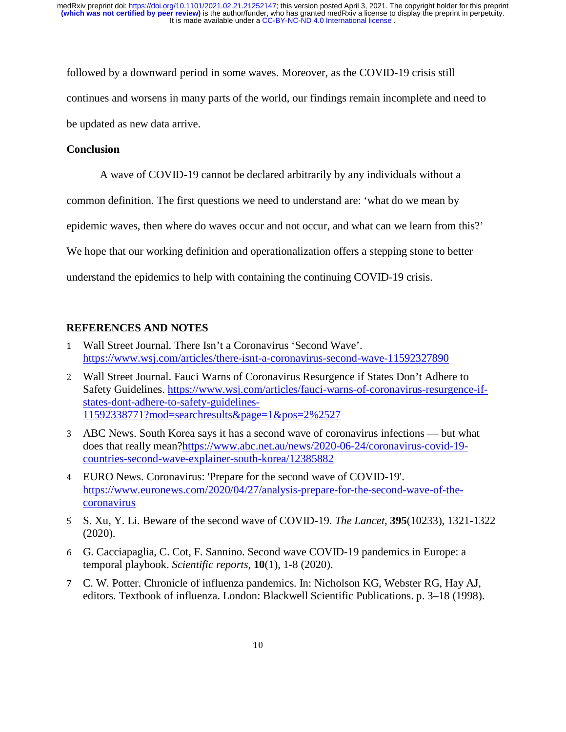followed by a downward period in some waves. Moreover, as the COVID-19 crisis still continues and worsens in many parts of the world, our findings remain incomplete and need to be updated as new data arrive.

#### **Conclusion**

A wave of COVID-19 cannot be declared arbitrarily by any individuals without a

common definition. The first questions we need to understand are: 'what do we mean by

epidemic waves, then where do waves occur and not occur, and what can we learn from this?'

We hope that our working definition and operationalization offers a stepping stone to better

understand the epidemics to help with containing the continuing COVID-19 crisis.

#### **REFERENCES AND NOTES**

- <sup>1</sup> Wall Street Journal. There Isn't a Coronavirus 'Second Wave'. https://www.wsj.com/articles/there-isnt-a-coronavirus-second-wave-11592327890
- <sup>2</sup> Wall Street Journal. Fauci Warns of Coronavirus Resurgence if States Don't Adhere to Safety Guidelines. https://www.wsj.com/articles/fauci-warns-of-coronavirus-resurgence-ifstates-dont-adhere-to-safety-guidelines-11592338771?mod=searchresults&page=1&pos=2%2527
- <sup>3</sup> ABC News. South Korea says it has a second wave of coronavirus infections but what does that really mean?https://www.abc.net.au/news/2020-06-24/coronavirus-covid-19 countries-second-wave-explainer-south-korea/12385882
- <sup>4</sup> EURO News. Coronavirus: 'Prepare for the second wave of COVID-19'. https://www.euronews.com/2020/04/27/analysis-prepare-for-the-second-wave-of-thecoronavirus
- <sup>5</sup> S. Xu, Y. Li. Beware of the second wave of COVID-19. *The Lancet*, **395**(10233), 1321-1322 (2020).
- <sup>6</sup> G. Cacciapaglia, C. Cot, F. Sannino. Second wave COVID-19 pandemics in Europe: a temporal playbook. *Scientific reports*, **10**(1), 1-8 (2020).
- <sup>7</sup> C. W. Potter. Chronicle of influenza pandemics. In: Nicholson KG, Webster RG, Hay AJ, editors. Textbook of influenza. London: Blackwell Scientific Publications. p. 3–18 (1998).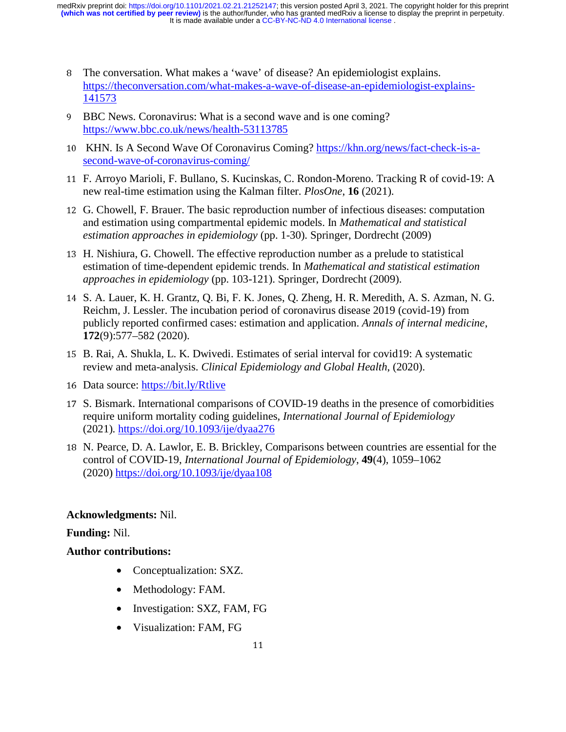It is made available under a [CC-BY-NC-ND 4.0 International license](http://creativecommons.org/licenses/by-nc-nd/4.0/) . **(which was not certified by peer review)** is the author/funder, who has granted medRxiv a license to display the preprint in perpetuity. medRxiv preprint doi: [https://doi.org/10.1101/2021.02.21.21252147;](https://doi.org/10.1101/2021.02.21.21252147) this version posted April 3, 2021. The copyright holder for this preprint

- <sup>8</sup> The conversation. What makes a 'wave' of disease? An epidemiologist explains. https://theconversation.com/what-makes-a-wave-of-disease-an-epidemiologist-explains-141573
- <sup>9</sup> BBC News. Coronavirus: What is a second wave and is one coming? https://www.bbc.co.uk/news/health-53113785
- 10 KHN. Is A Second Wave Of Coronavirus Coming? https://khn.org/news/fact-check-is-asecond-wave-of-coronavirus-coming/
- <sup>11</sup> F. Arroyo Marioli, F. Bullano, S. Kucinskas, C. Rondon-Moreno. Tracking R of covid-19: A new real-time estimation using the Kalman filter. *PlosOne*, **16** (2021).
- <sup>12</sup> G. Chowell, F. Brauer. The basic reproduction number of infectious diseases: computation and estimation using compartmental epidemic models. In *Mathematical and statistical estimation approaches in epidemiology* (pp. 1-30). Springer, Dordrecht (2009)
- <sup>13</sup> H. Nishiura, G. Chowell. The effective reproduction number as a prelude to statistical estimation of time-dependent epidemic trends. In *Mathematical and statistical estimation approaches in epidemiology* (pp. 103-121). Springer, Dordrecht (2009).
- <sup>14</sup> S. A. Lauer, K. H. Grantz, Q. Bi, F. K. Jones, Q. Zheng, H. R. Meredith, A. S. Azman, N. G. Reichm, J. Lessler. The incubation period of coronavirus disease 2019 (covid-19) from publicly reported confirmed cases: estimation and application. *Annals of internal medicine*, **172**(9):577–582 (2020).
- <sup>15</sup> B. Rai, A. Shukla, L. K. Dwivedi. Estimates of serial interval for covid19: A systematic review and meta-analysis. *Clinical Epidemiology and Global Health*, (2020).
- <sup>16</sup> Data source: https://bit.ly/Rtlive
- <sup>17</sup> S. Bismark. International comparisons of COVID-19 deaths in the presence of comorbidities require uniform mortality coding guidelines, *International Journal of Epidemiology* (2021). https://doi.org/10.1093/ije/dyaa276
- <sup>18</sup> N. Pearce, D. A. Lawlor, E. B. Brickley, Comparisons between countries are essential for the control of COVID-19, *International Journal of Epidemiology*, **49**(4), 1059–1062 (2020) https://doi.org/10.1093/ije/dyaa108

## **Acknowledgments:** Nil.

## **Funding:** Nil.

## **Author contributions:**

- Conceptualization: SXZ.
- Methodology: FAM.
- Investigation: SXZ, FAM, FG
- Visualization: FAM, FG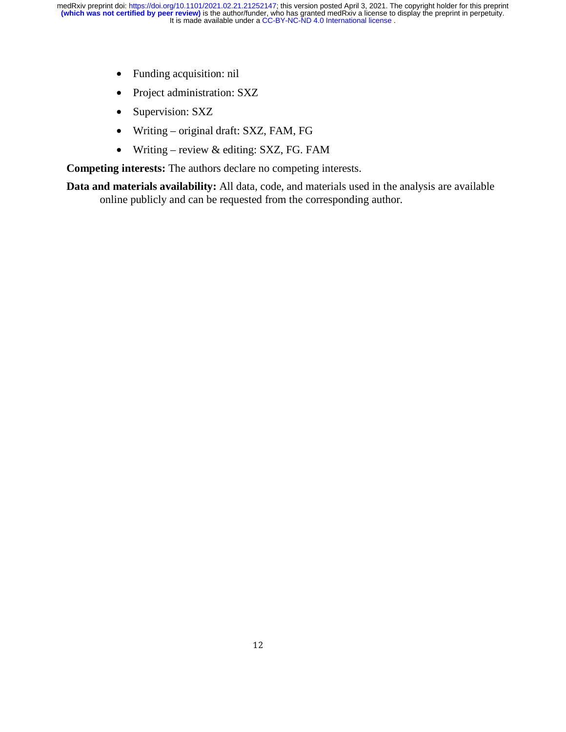- Funding acquisition: nil
- Project administration: SXZ
- Supervision: SXZ
- Writing original draft: SXZ, FAM, FG
- Writing review  $&$  editing: SXZ, FG. FAM

**Competing interests:** The authors declare no competing interests.

**Data and materials availability:** All data, code, and materials used in the analysis are available online publicly and can be requested from the corresponding author.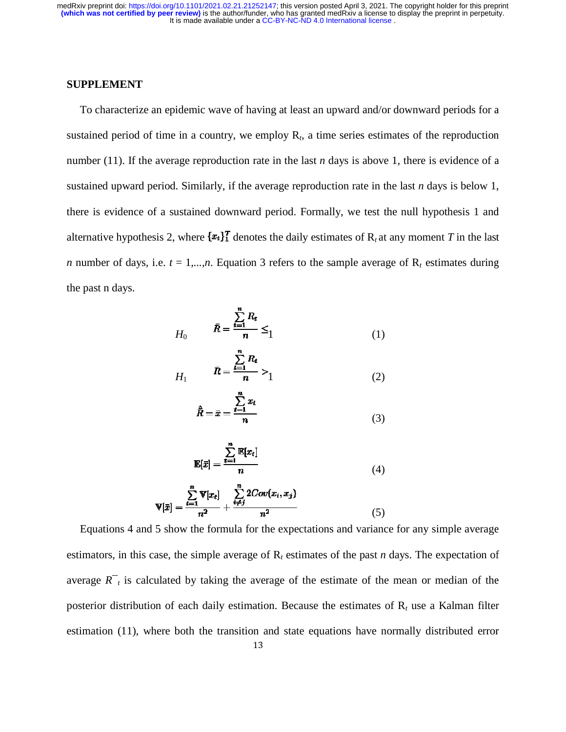#### **SUPPLEMENT**

To characterize an epidemic wave of having at least an upward and/or downward periods for a sustained period of time in a country, we employ  $R<sub>t</sub>$ , a time series estimates of the reproduction number (11). If the average reproduction rate in the last  $n$  days is above 1, there is evidence of a sustained upward period. Similarly, if the average reproduction rate in the last  $n$  days is below 1, there is evidence of a sustained downward period. Formally, we test the null hypothesis 1 and alternative hypothesis 2, where  $\{x_t\}$  denotes the daily estimates of  $R_t$  at any moment *T* in the last *n* number of days, i.e.  $t = 1,...,n$ . Equation 3 refers to the sample average of  $R_t$  estimates during the past n days.

$$
H_0 \qquad \qquad \bar{R} = \frac{\sum_{t=1}^{n} R_t}{n} \leq 1 \tag{1}
$$

$$
H_1 \qquad \bar{R} = \frac{\sum_{i=1}^{R_t} R_i}{n} > 1 \tag{2}
$$

$$
\hat{\bar{R}} = \bar{x} = \frac{\sum_{i=1}^{n} x_i}{n} \tag{3}
$$

$$
\mathbb{E}[\bar{x}] = \frac{\sum_{t=1}^{n} \mathbb{E}[x_t]}{n} \tag{4}
$$

$$
\mathbf{V}[\bar{x}] = \frac{\sum_{i=1}^{n} \mathbf{V}[x_i]}{n^2} + \frac{\sum_{i \neq j}^{n} 2Cov(x_i, x_j)}{n^2}
$$
(5)

Equations 4 and 5 show the formula for the expectations and variance for any simple average estimators, in this case, the simple average of  $R_t$  estimates of the past *n* days. The expectation of average  $R^-$  *t* is calculated by taking the average of the estimate of the mean or median of the posterior distribution of each daily estimation. Because the estimates of  $R_t$  use a Kalman filter estimation (11), where both the transition and state equations have normally distributed error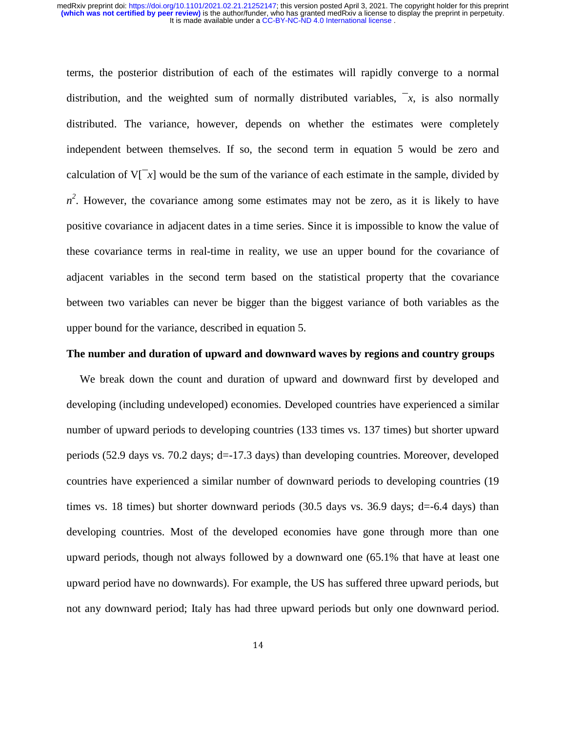#### It is made available under a [CC-BY-NC-ND 4.0 International license](http://creativecommons.org/licenses/by-nc-nd/4.0/) . **(which was not certified by peer review)** is the author/funder, who has granted medRxiv a license to display the preprint in perpetuity. medRxiv preprint doi: [https://doi.org/10.1101/2021.02.21.21252147;](https://doi.org/10.1101/2021.02.21.21252147) this version posted April 3, 2021. The copyright holder for this preprint

terms, the posterior distribution of each of the estimates will rapidly converge to a normal distribution, and the weighted sum of normally distributed variables,  $\overline{z}$ , is also normally distributed. The variance, however, depends on whether the estimates were completely independent between themselves. If so, the second term in equation 5 would be zero and calculation of  $V[\bar{x}]$  would be the sum of the variance of each estimate in the sample, divided by  $n^2$ . However, the covariance among some estimates may not be zero, as it is likely to have positive covariance in adjacent dates in a time series. Since it is impossible to know the value of these covariance terms in real-time in reality, we use an upper bound for the covariance of adjacent variables in the second term based on the statistical property that the covariance between two variables can never be bigger than the biggest variance of both variables as the upper bound for the variance, described in equation 5.

#### **The number and duration of upward and downward waves by regions and country groups**

We break down the count and duration of upward and downward first by developed and developing (including undeveloped) economies. Developed countries have experienced a similar number of upward periods to developing countries (133 times vs. 137 times) but shorter upward periods (52.9 days vs. 70.2 days; d=-17.3 days) than developing countries. Moreover, developed countries have experienced a similar number of downward periods to developing countries (19 times vs. 18 times) but shorter downward periods  $(30.5$  days vs.  $36.9$  days; d=-6.4 days) than developing countries. Most of the developed economies have gone through more than one upward periods, though not always followed by a downward one (65.1% that have at least one upward period have no downwards). For example, the US has suffered three upward periods, but not any downward period; Italy has had three upward periods but only one downward period.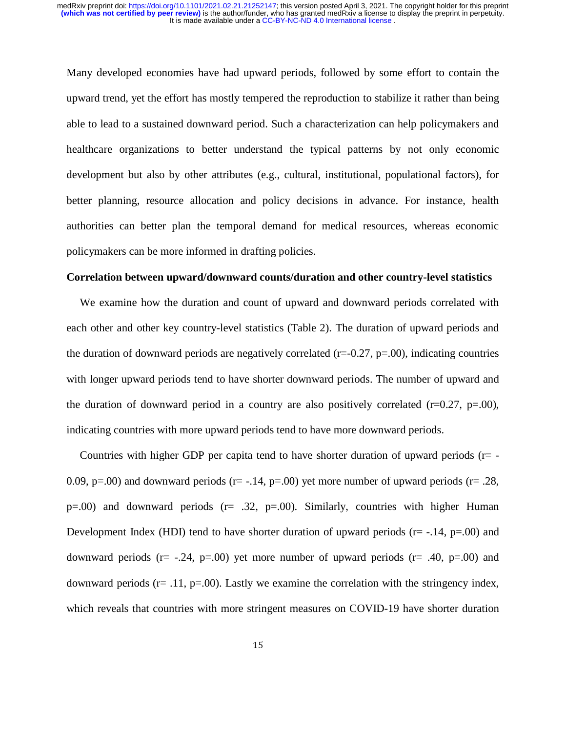Many developed economies have had upward periods, followed by some effort to contain the upward trend, yet the effort has mostly tempered the reproduction to stabilize it rather than being able to lead to a sustained downward period. Such a characterization can help policymakers and healthcare organizations to better understand the typical patterns by not only economic development but also by other attributes (e.g., cultural, institutional, populational factors), for better planning, resource allocation and policy decisions in advance. For instance, health authorities can better plan the temporal demand for medical resources, whereas economic policymakers can be more informed in drafting policies.

#### **Correlation between upward/downward counts/duration and other country-level statistics**

We examine how the duration and count of upward and downward periods correlated with each other and other key country-level statistics (Table 2). The duration of upward periods and the duration of downward periods are negatively correlated  $(r=0.27, p=.00)$ , indicating countries with longer upward periods tend to have shorter downward periods. The number of upward and the duration of downward period in a country are also positively correlated  $(r=0.27, p=.00)$ , indicating countries with more upward periods tend to have more downward periods.

Countries with higher GDP per capita tend to have shorter duration of upward periods ( $r=$  -0.09, p=.00) and downward periods (r= -.14, p=.00) yet more number of upward periods (r= .28,  $p=0.00$ ) and downward periods ( $r=0.32$ ,  $p=0.00$ ). Similarly, countries with higher Human Development Index (HDI) tend to have shorter duration of upward periods  $(r=-.14, p=.00)$  and downward periods (r=  $-.24$ , p=.00) yet more number of upward periods (r=  $.40$ , p=.00) and downward periods (r= .11, p=.00). Lastly we examine the correlation with the stringency index, which reveals that countries with more stringent measures on COVID-19 have shorter duration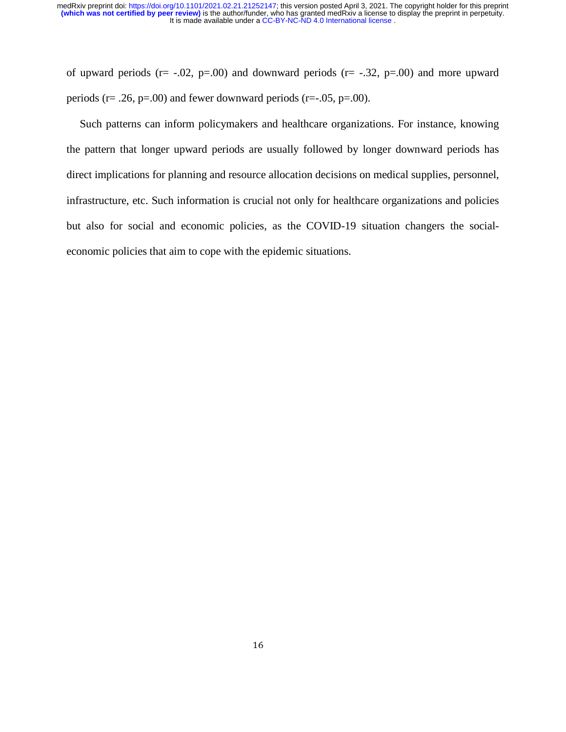of upward periods ( $r = -0.02$ ,  $p = 0.00$ ) and downward periods ( $r = -0.32$ ,  $p = 0.00$ ) and more upward periods ( $r = .26$ ,  $p = .00$ ) and fewer downward periods ( $r = .05$ ,  $p = .00$ ).

Such patterns can inform policymakers and healthcare organizations. For instance, knowing the pattern that longer upward periods are usually followed by longer downward periods has direct implications for planning and resource allocation decisions on medical supplies, personnel, infrastructure, etc. Such information is crucial not only for healthcare organizations and policies but also for social and economic policies, as the COVID-19 situation changers the socialeconomic policies that aim to cope with the epidemic situations.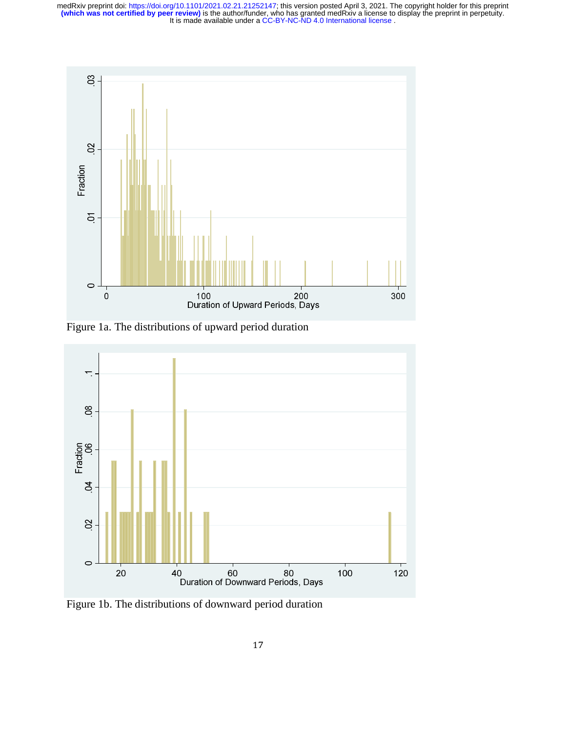

Figure 1a. The distributions of upward period duration



Figure 1b. The distributions of downward period duration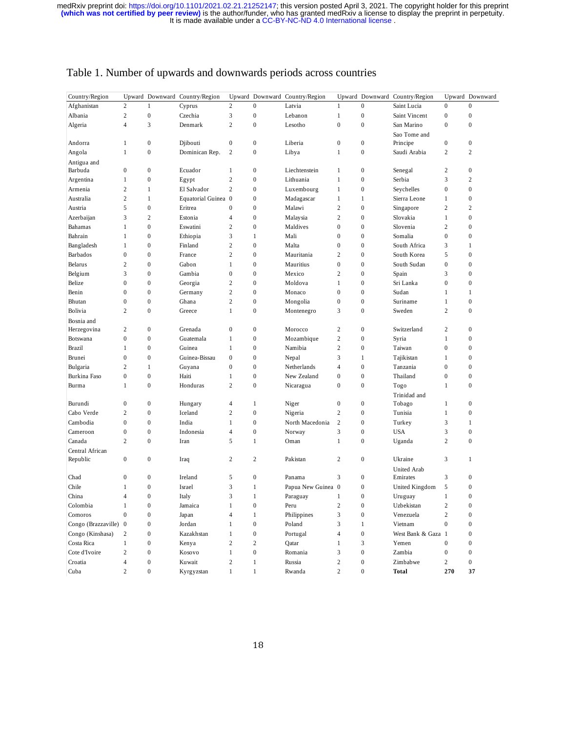| Country/Region      |                  |                  | Upward Downward Country/Region |                          |                  | Upward Downward Country/Region |                  | Upward Downward  | Country/Region     |                  | Upward Downward  |
|---------------------|------------------|------------------|--------------------------------|--------------------------|------------------|--------------------------------|------------------|------------------|--------------------|------------------|------------------|
| Afghanistan         | $\overline{c}$   | 1                | Cyprus                         | $\overline{c}$           | $\mathbf{0}$     | Latvia                         | $\mathbf{1}$     | $\mathbf{0}$     | Saint Lucia        | $\boldsymbol{0}$ | $\boldsymbol{0}$ |
| Albania             | $\mathbf{2}$     | $\mathbf{0}$     | Czechia                        | 3                        | $\overline{0}$   | Lebanon                        | $\mathbf{1}$     | $\mathbf{0}$     | Saint Vincent      | $\mathbf{0}$     | $\boldsymbol{0}$ |
| Algeria             | $\overline{4}$   | 3                | Denmark                        | $\mathfrak{2}$           | $\mathbf{0}$     | Lesotho                        | $\boldsymbol{0}$ | $\mathbf{0}$     | San Marino         | $\mathbf{0}$     | $\boldsymbol{0}$ |
|                     |                  |                  |                                |                          |                  |                                |                  |                  | Sao Tome and       |                  |                  |
| Andorra             | $\mathbf{1}$     | $\boldsymbol{0}$ | Djibouti                       | $\boldsymbol{0}$         | $\mathbf{0}$     | Liberia                        | $\boldsymbol{0}$ | $\boldsymbol{0}$ | Principe           | $\mathbf{0}$     | $\boldsymbol{0}$ |
| Angola              | $\mathbf{1}$     | $\boldsymbol{0}$ | Dominican Rep.                 | $\overline{2}$           | $\mathbf{0}$     | Libya                          | $\mathbf{1}$     | $\boldsymbol{0}$ | Saudi Arabia       | $\overline{c}$   | $\overline{c}$   |
| Antigua and         |                  |                  |                                |                          |                  |                                |                  |                  |                    |                  |                  |
| Barbuda             | $\overline{0}$   | $\boldsymbol{0}$ | Ecuador                        | $\mathbf{1}$             | $\boldsymbol{0}$ | Liechtenstein                  | 1                | $\overline{0}$   | Senegal            | $\overline{2}$   | $\boldsymbol{0}$ |
| Argentina           | 1                | $\boldsymbol{0}$ | Egypt                          | $\overline{c}$           | $\overline{0}$   | Lithuania                      | $\mathbf{1}$     | $\mathbf{0}$     | Serbia             | 3                | $\mathbf{2}$     |
| Armenia             | $\overline{c}$   | 1                | El Salvador                    | $\overline{c}$           | $\overline{0}$   | Luxembourg                     | $\mathbf{1}$     | $\overline{0}$   | Seychelles         | $\overline{0}$   | $\boldsymbol{0}$ |
| Australia           | $\mathbf{2}$     | $\mathbf{1}$     | Equatorial Guinea 0            |                          | $\overline{0}$   | Madagascar                     | $\mathbf{1}$     | $\mathbf{1}$     | Sierra Leone       | $\mathbf{1}$     | $\boldsymbol{0}$ |
| Austria             | 5                | $\mathbf{0}$     | Eritrea                        | $\boldsymbol{0}$         | $\mathbf{0}$     | Malawi                         | $\sqrt{2}$       | $\mathbf{0}$     | Singapore          | $\overline{c}$   | $\mathbf{2}$     |
| Azerbaijan          | 3                | $\overline{c}$   | Estonia                        | $\overline{\mathcal{L}}$ | $\mathbf{0}$     | Malaysia                       | $\sqrt{2}$       | $\mathbf{0}$     | Slovakia           | $\,1$            | $\boldsymbol{0}$ |
| Bahamas             | $\mathbf{1}$     | $\boldsymbol{0}$ | Eswatini                       | $\overline{2}$           | $\mathbf{0}$     | Maldives                       | $\boldsymbol{0}$ | $\overline{0}$   | Slovenia           | $\overline{2}$   | $\boldsymbol{0}$ |
| Bahrain             | $\mathbf{1}$     | $\boldsymbol{0}$ | Ethiopia                       | 3                        | $\mathbf 1$      | Mali                           | $\boldsymbol{0}$ | $\overline{0}$   | Somalia            | $\mathbf{0}$     | $\boldsymbol{0}$ |
| Bangladesh          | 1                | $\boldsymbol{0}$ | Finland                        | $\overline{c}$           | $\mathbf{0}$     | Malta                          | $\boldsymbol{0}$ | $\mathbf{0}$     | South Africa       | 3                | $\mathbf{1}$     |
| Barbados            | $\overline{0}$   | $\overline{0}$   | France                         | $\overline{c}$           | $\mathbf{0}$     | Mauritania                     | $\overline{c}$   | $\overline{0}$   | South Korea        | 5                | $\mathbf{0}$     |
| Belarus             | $\mathbf{2}$     | $\mathbf{0}$     | Gabon                          | $\mathbf{1}$             | $\mathbf{0}$     | Mauritius                      | $\boldsymbol{0}$ | $\mathbf{0}$     | South Sudan        | $\mathbf{0}$     | $\boldsymbol{0}$ |
| Belgium             | 3                | $\boldsymbol{0}$ | Gambia                         | $\boldsymbol{0}$         | $\overline{0}$   | Mexico                         | $\overline{c}$   | $\mathbf{0}$     | Spain              | 3                | $\boldsymbol{0}$ |
| Belize              | $\overline{0}$   | $\overline{0}$   | Georgia                        | $\sqrt{2}$               | $\overline{0}$   | Moldova                        | $\mathbf{1}$     | $\overline{0}$   | Sri Lanka          | $\theta$         | $\boldsymbol{0}$ |
| Benin               | $\overline{0}$   | $\overline{0}$   | Germany                        | $\mathfrak{2}$           | $\overline{0}$   | Monaco                         | $\mathbf{0}$     | $\overline{0}$   | Sudan              | 1                | 1                |
| Bhutan              | $\mathbf{0}$     | $\boldsymbol{0}$ | Ghana                          | $\overline{2}$           | $\mathbf{0}$     | Mongolia                       | $\boldsymbol{0}$ | $\mathbf{0}$     | Suriname           | 1                | $\boldsymbol{0}$ |
| Bolivia             | $\overline{c}$   | $\overline{0}$   | Greece                         | $\mathbf{1}$             | $\boldsymbol{0}$ |                                | 3                | $\overline{0}$   | Sweden             | $\overline{c}$   | $\mathbf{0}$     |
|                     |                  |                  |                                |                          |                  | Montenegro                     |                  |                  |                    |                  |                  |
| Bosnia and          | $\mathbf{2}$     | $\boldsymbol{0}$ | Grenada                        | $\boldsymbol{0}$         | $\mathbf{0}$     | Morocco                        | $\mathbf{2}$     | $\mathbf{0}$     | Switzerland        | $\overline{2}$   | $\boldsymbol{0}$ |
| Herzegovina         | $\overline{0}$   | $\overline{0}$   | Guatemala                      | $\mathbf{1}$             | $\overline{0}$   |                                | $\sqrt{2}$       | $\overline{0}$   |                    | 1                | $\mathbf{0}$     |
| Botswana<br>Brazil  | $\mathbf{1}$     | $\mathbf{0}$     | Guinea                         | $\mathbf{1}$             | $\mathbf{0}$     | Mozambique                     | $\sqrt{2}$       | $\mathbf{0}$     | Syria              | $\overline{0}$   | $\boldsymbol{0}$ |
|                     |                  |                  |                                |                          |                  | Namibia                        |                  |                  | Taiwan             |                  |                  |
| Brunei              | $\boldsymbol{0}$ | $\boldsymbol{0}$ | Guinea-Bissau                  | $\boldsymbol{0}$         | $\mathbf{0}$     | Nepal                          | 3                | 1                | Tajikistan         | 1                | $\boldsymbol{0}$ |
| Bulgaria            | $\overline{c}$   | 1                | Guyana                         | $\boldsymbol{0}$         | $\overline{0}$   | Netherlands                    | $\overline{4}$   | $\overline{0}$   | Tanzania           | $\overline{0}$   | $\boldsymbol{0}$ |
| Burkina Faso        | $\overline{0}$   | $\boldsymbol{0}$ | Haiti                          | $\mathbf{1}$             | $\overline{0}$   | New Zealand                    | $\boldsymbol{0}$ | $\overline{0}$   | Thailand           | $\mathbf{0}$     | $\boldsymbol{0}$ |
| Burma               | $\mathbf{1}$     | $\boldsymbol{0}$ | Honduras                       | $\overline{2}$           | $\overline{0}$   | Nicaragua                      | $\mathbf{0}$     | $\mathbf{0}$     | Togo               | 1                | $\boldsymbol{0}$ |
|                     |                  |                  |                                |                          |                  |                                |                  |                  | Trinidad and       |                  |                  |
| Burundi             | $\boldsymbol{0}$ | $\boldsymbol{0}$ | Hungary                        | $\overline{4}$           | $\mathbf 1$      | Niger                          | $\boldsymbol{0}$ | $\mathbf{0}$     | Tobago             | $\mathbf{1}$     | $\boldsymbol{0}$ |
| Cabo Verde          | $\mathbf{2}$     | $\boldsymbol{0}$ | Iceland                        | $\overline{2}$           | $\overline{0}$   | Nigeria                        | $\mathbf{2}$     | $\mathbf{0}$     | Tunisia            | 1                | $\boldsymbol{0}$ |
| Cambodia            | $\overline{0}$   | $\overline{0}$   | India                          | $\mathbf{1}$             | $\overline{0}$   | North Macedonia                | $\sqrt{2}$       | $\overline{0}$   | Turkey             | 3                | $\mathbf{1}$     |
| Cameroon            | $\boldsymbol{0}$ | $\mathbf{0}$     | Indonesia                      | $\overline{4}$           | $\mathbf{0}$     | Norway                         | 3                | $\mathbf{0}$     | <b>USA</b>         | 3                | $\boldsymbol{0}$ |
| Canada              | $\mathbf{2}$     | $\boldsymbol{0}$ | Iran                           | 5                        | $\mathbf 1$      | Oman                           | $\mathbf{1}$     | $\mathbf{0}$     | Uganda             | $\mathfrak{2}$   | $\boldsymbol{0}$ |
| Central African     |                  |                  |                                |                          |                  |                                |                  |                  |                    |                  |                  |
| Republic            | $\mathbf{0}$     | $\boldsymbol{0}$ | Iraq                           | $\overline{2}$           | 2                | Pakistan                       | $\mathbf{2}$     | $\boldsymbol{0}$ | Ukraine            | 3                | 1                |
|                     |                  |                  |                                |                          |                  |                                |                  |                  | <b>United Arab</b> |                  |                  |
| Chad                | $\mathbf{0}$     | $\boldsymbol{0}$ | Ireland                        | 5                        | $\boldsymbol{0}$ | Panama                         | 3                | $\mathbf{0}$     | Emirates           | 3                | $\boldsymbol{0}$ |
| Chile               | $\mathbf{1}$     | $\boldsymbol{0}$ | Israel                         | 3                        | $\mathbf{1}$     | Papua New Guinea 0             |                  | $\mathbf{0}$     | United Kingdom     | 5                | $\boldsymbol{0}$ |
| China               | $\overline{4}$   | $\mathbf{0}$     | Italy                          | 3                        | $\mathbf{1}$     | Paraguay                       | $\mathbf{1}$     | $\mathbf{0}$     | Uruguay            | 1                | $\mathbf{0}$     |
| Colombia            | $\mathbf{1}$     | $\overline{0}$   | Jamaica                        | $\mathbf{1}$             | $\mathbf{0}$     | Peru                           | $\sqrt{2}$       | $\overline{0}$   | Uzbekistan         | $\overline{c}$   | $\boldsymbol{0}$ |
| Comoros             | $\mathbf{0}$     | $\boldsymbol{0}$ | Japan                          | $\overline{4}$           | $\mathbf 1$      | Philippines                    | $\mathfrak z$    | $\mathbf{0}$     | Venezuela          | $\mathfrak{2}$   | $\boldsymbol{0}$ |
| Congo (Brazzaville) | $\boldsymbol{0}$ | $\mathbf{0}$     | Jordan                         | 1                        | $\boldsymbol{0}$ | Poland                         | $\mathfrak z$    | 1                | Vietnam            | $\theta$         | $\boldsymbol{0}$ |
| Congo (Kinshasa)    | $\mathbf{2}$     | $\overline{0}$   | Kazakhstan                     | $\mathbf{1}$             | $\mathbf{0}$     | Portugal                       | $\overline{4}$   | $\mathbf{0}$     | West Bank & Gaza 1 |                  | $\boldsymbol{0}$ |
| Costa Rica          | $\mathbf{1}$     | $\overline{0}$   | Kenya                          | $\overline{c}$           | $\mathbf{2}$     | Qatar                          | 1                | 3                | Yemen              | $\overline{0}$   | $\boldsymbol{0}$ |
| Cote d'Ivoire       | $\overline{c}$   | $\boldsymbol{0}$ | Kosovo                         | $\mathbf{1}$             | $\overline{0}$   | Romania                        | 3                | $\boldsymbol{0}$ | Zambia             | $\mathbf{0}$     | $\boldsymbol{0}$ |
| Croatia             | $\overline{4}$   | $\overline{0}$   | Kuwait                         | $\overline{c}$           | $\mathbf{1}$     | Russia                         | $\overline{c}$   | $\overline{0}$   | Zimbabwe           | $\overline{c}$   | $\mathbf{0}$     |
| Cuba                | $\overline{c}$   | $\overline{0}$   | Kyrgyzstan                     | $\mathbf{1}$             | $\mathbf{1}$     | Rwanda                         | $\overline{c}$   | $\theta$         | <b>Total</b>       | 270              | 37               |

# Table 1. Number of upwards and downwards periods across countries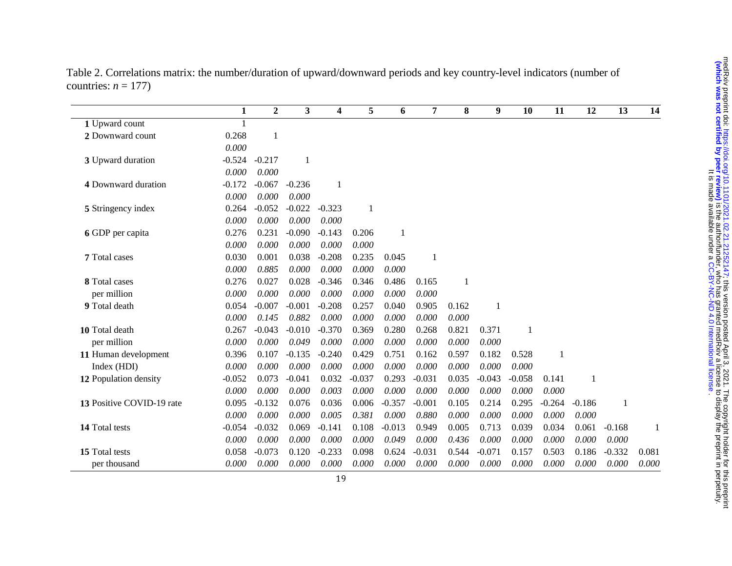|                           | $\mathbf{1}$ | $\boldsymbol{2}$ | $\overline{\mathbf{3}}$ | 4            | 5        | 6        | 7        | 8     | 9        | 10       | 11       | 12       | 13       | 14    |
|---------------------------|--------------|------------------|-------------------------|--------------|----------|----------|----------|-------|----------|----------|----------|----------|----------|-------|
| 1 Upward count            | $\mathbf{1}$ |                  |                         |              |          |          |          |       |          |          |          |          |          |       |
| 2 Downward count          | 0.268        | $\overline{1}$   |                         |              |          |          |          |       |          |          |          |          |          |       |
|                           | $0.000\,$    |                  |                         |              |          |          |          |       |          |          |          |          |          |       |
| 3 Upward duration         | $-0.524$     | $-0.217$         | 1                       |              |          |          |          |       |          |          |          |          |          |       |
|                           | 0.000        | 0.000            |                         |              |          |          |          |       |          |          |          |          |          |       |
| 4 Downward duration       | $-0.172$     | $-0.067$         | $-0.236$                | $\mathbf{1}$ |          |          |          |       |          |          |          |          |          |       |
|                           | 0.000        | 0.000            | 0.000                   |              |          |          |          |       |          |          |          |          |          |       |
| 5 Stringency index        | 0.264        | $-0.052$         | $-0.022$                | $-0.323$     |          |          |          |       |          |          |          |          |          |       |
|                           | 0.000        | 0.000            | 0.000                   | 0.000        |          |          |          |       |          |          |          |          |          |       |
| 6 GDP per capita          | 0.276        | 0.231            | $-0.090$                | $-0.143$     | 0.206    | 1        |          |       |          |          |          |          |          |       |
|                           | 0.000        | 0.000            | 0.000                   | 0.000        | 0.000    |          |          |       |          |          |          |          |          |       |
| 7 Total cases             | 0.030        | 0.001            | 0.038                   | $-0.208$     | 0.235    | 0.045    | 1        |       |          |          |          |          |          |       |
|                           | 0.000        | 0.885            | 0.000                   | 0.000        | 0.000    | 0.000    |          |       |          |          |          |          |          |       |
| 8 Total cases             | 0.276        | 0.027            | 0.028                   | $-0.346$     | 0.346    | 0.486    | 0.165    | 1     |          |          |          |          |          |       |
| per million               | 0.000        | 0.000            | 0.000                   | 0.000        | 0.000    | 0.000    | 0.000    |       |          |          |          |          |          |       |
| 9 Total death             | 0.054        | $-0.007$         | $-0.001$                | $-0.208$     | 0.257    | 0.040    | 0.905    | 0.162 | 1        |          |          |          |          |       |
|                           | 0.000        | 0.145            | 0.882                   | 0.000        | 0.000    | 0.000    | 0.000    | 0.000 |          |          |          |          |          |       |
| 10 Total death            | 0.267        | $-0.043$         | $-0.010$                | $-0.370$     | 0.369    | 0.280    | 0.268    | 0.821 | 0.371    | 1        |          |          |          |       |
| per million               | 0.000        | 0.000            | 0.049                   | 0.000        | 0.000    | 0.000    | 0.000    | 0.000 | 0.000    |          |          |          |          |       |
| 11 Human development      | 0.396        | 0.107            | $-0.135$                | $-0.240$     | 0.429    | 0.751    | 0.162    | 0.597 | 0.182    | 0.528    | 1        |          |          |       |
| Index (HDI)               | 0.000        | 0.000            | 0.000                   | 0.000        | 0.000    | 0.000    | 0.000    | 0.000 | 0.000    | 0.000    |          |          |          |       |
| 12 Population density     | $-0.052$     | 0.073            | $-0.041$                | 0.032        | $-0.037$ | 0.293    | $-0.031$ | 0.035 | $-0.043$ | $-0.058$ | 0.141    | 1        |          |       |
|                           | 0.000        | 0.000            | 0.000                   | 0.003        | 0.000    | 0.000    | 0.000    | 0.000 | 0.000    | 0.000    | 0.000    |          |          |       |
| 13 Positive COVID-19 rate | 0.095        | $-0.132$         | 0.076                   | 0.036        | 0.006    | $-0.357$ | $-0.001$ | 0.105 | 0.214    | 0.295    | $-0.264$ | $-0.186$ | 1        |       |
|                           | 0.000        | 0.000            | 0.000                   | 0.005        | 0.381    | 0.000    | 0.880    | 0.000 | 0.000    | 0.000    | 0.000    | 0.000    |          |       |
| 14 Total tests            | $-0.054$     | $-0.032$         | 0.069                   | $-0.141$     | 0.108    | $-0.013$ | 0.949    | 0.005 | 0.713    | 0.039    | 0.034    | 0.061    | $-0.168$ | 1     |
|                           | 0.000        | 0.000            | 0.000                   | 0.000        | 0.000    | 0.049    | 0.000    | 0.436 | 0.000    | 0.000    | 0.000    | 0.000    | 0.000    |       |
| 15 Total tests            | 0.058        | $-0.073$         | 0.120                   | $-0.233$     | 0.098    | 0.624    | $-0.031$ | 0.544 | $-0.071$ | 0.157    | 0.503    | 0.186    | $-0.332$ | 0.081 |
| per thousand              | 0.000        | 0.000            | 0.000                   | 0.000        | 0.000    | 0.000    | 0.000    | 0.000 | 0.000    | 0.000    | 0.000    | 0.000    | 0.000    | 0.000 |

Table 2. Correlations matrix: the number/duration of upward/downward periods and key country-level indicators (number of countries:  $n = 177$ )